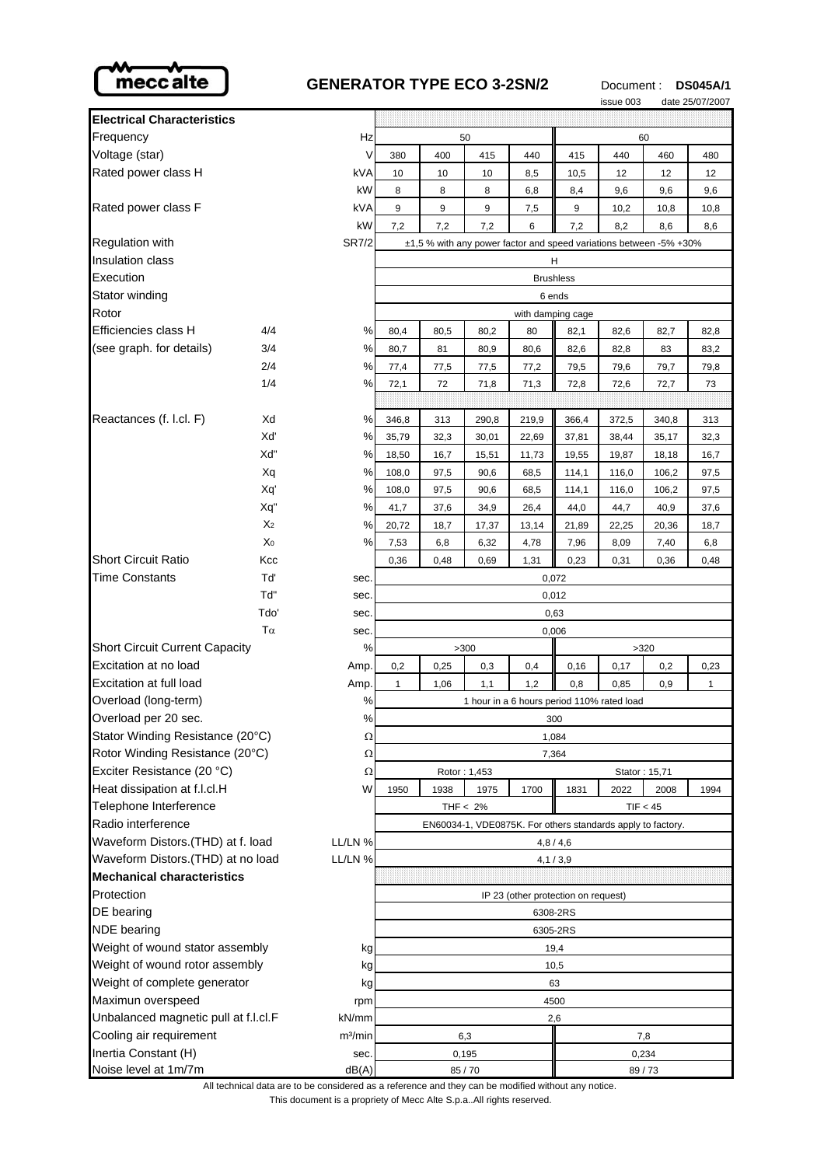

## **GENERATOR TYPE ECO 3-2SN/2** Document: DS045A/1

issue 003 date 25/07/2007

|                                              |                       |                     |                                                                    |             |               |              |                                     | waa voo       |              |              |
|----------------------------------------------|-----------------------|---------------------|--------------------------------------------------------------------|-------------|---------------|--------------|-------------------------------------|---------------|--------------|--------------|
| <b>Electrical Characteristics</b>            |                       |                     |                                                                    |             |               |              |                                     |               |              |              |
| Frequency                                    |                       | Hz                  | 50                                                                 |             |               | 60           |                                     |               |              |              |
| Voltage (star)                               |                       | ٧                   | 380                                                                | 400         | 415           | 440          | 415                                 | 440           | 460          | 480          |
| Rated power class H                          |                       | kVA                 | 10                                                                 | 10          | 10            | 8,5          | 10,5                                | 12            | 12           | 12           |
|                                              |                       | kW                  | 8                                                                  | 8           | 8             | 6,8          | 8,4                                 | 9,6           | 9,6          | 9,6          |
| Rated power class F                          |                       | kVA                 | 9                                                                  | 9           | 9             | 7,5          | 9                                   | 10,2          | 10,8         | 10,8         |
|                                              |                       | kW                  | 7,2                                                                | 7,2         | 7,2           | 6            | 7,2                                 | 8,2           | 8,6          | 8,6          |
| Regulation with                              |                       | <b>SR7/2</b>        | ±1,5 % with any power factor and speed variations between -5% +30% |             |               |              |                                     |               |              |              |
| <b>Insulation class</b>                      |                       | н                   |                                                                    |             |               |              |                                     |               |              |              |
| Execution                                    |                       |                     | <b>Brushless</b>                                                   |             |               |              |                                     |               |              |              |
| Stator winding                               |                       |                     | 6 ends                                                             |             |               |              |                                     |               |              |              |
| Rotor                                        |                       |                     | with damping cage                                                  |             |               |              |                                     |               |              |              |
| Efficiencies class H                         | 4/4                   | %                   | 80,4                                                               | 80,5        | 80,2          | 80           | 82,1                                | 82,6          | 82,7         | 82,8         |
| (see graph. for details)                     | 3/4                   | %                   | 80,7                                                               | 81          | 80,9          | 80,6         | 82,6                                | 82,8          | 83           | 83,2         |
|                                              | 2/4                   | %                   | 77,4                                                               | 77,5        | 77,5          | 77,2         | 79,5                                | 79,6          | 79,7         | 79,8         |
|                                              | 1/4                   | %                   | 72,1                                                               | 72          | 71,8          | 71,3         | 72,8                                | 72,6          | 72,7         | 73           |
|                                              |                       |                     |                                                                    |             |               |              |                                     |               |              |              |
| Reactances (f. l.cl. F)                      | Xd                    | %                   | 346,8                                                              | 313         | 290,8         | 219,9        | 366,4                               | 372,5         | 340,8        | 313          |
|                                              | Xď                    | %                   | 35,79                                                              | 32,3        | 30,01         | 22,69        | 37,81                               | 38,44         | 35,17        | 32,3         |
|                                              | Xd"                   | %                   | 18,50                                                              | 16,7        | 15,51         | 11,73        | 19,55                               | 19,87         | 18,18        | 16,7         |
|                                              | Xq                    | %                   | 108,0                                                              | 97,5        | 90,6          | 68,5         | 114,1                               | 116,0         | 106,2        | 97,5         |
|                                              | Xq'                   | %                   | 108,0                                                              | 97,5        | 90,6          | 68,5         | 114,1                               | 116,0         | 106,2        | 97,5         |
|                                              | Xq"<br>X <sub>2</sub> | %                   | 41,7                                                               | 37,6        | 34,9          | 26,4         | 44,0                                | 44,7          | 40,9         | 37,6         |
|                                              | X <sub>0</sub>        | %<br>%              | 20,72<br>7,53                                                      | 18,7<br>6,8 | 17,37<br>6,32 | 13,14        | 21,89                               | 22,25         | 20,36        | 18,7         |
| Short Circuit Ratio                          | Kcc                   |                     | 0,36                                                               | 0,48        | 0,69          | 4,78<br>1,31 | 7,96<br>0,23                        | 8,09<br>0,31  | 7,40<br>0,36 | 6,8<br>0,48  |
| <b>Time Constants</b>                        | Tď                    | sec.                |                                                                    |             |               |              |                                     |               |              |              |
|                                              | Td"                   | sec.                | 0,072<br>0,012                                                     |             |               |              |                                     |               |              |              |
|                                              | Tdo'                  | sec.                | 0,63                                                               |             |               |              |                                     |               |              |              |
|                                              | $T\alpha$             | sec.                | 0,006                                                              |             |               |              |                                     |               |              |              |
| <b>Short Circuit Current Capacity</b>        |                       | %                   | >300<br>>320                                                       |             |               |              |                                     |               |              |              |
| Excitation at no load                        |                       | Amp.                | 0,2                                                                | 0,25        | 0,3           | 0,4          | 0, 16                               | 0,17          | 0,2          | 0,23         |
| Excitation at full load                      |                       | Amp.                | 1                                                                  | 1,06        | 1,1           | 1,2          | 0,8                                 | 0,85          | 0,9          | $\mathbf{1}$ |
| Overload (long-term)                         |                       | %                   | 1 hour in a 6 hours period 110% rated load                         |             |               |              |                                     |               |              |              |
| Overload per 20 sec.                         |                       | %                   | 300                                                                |             |               |              |                                     |               |              |              |
| Stator Winding Resistance (20°C)             |                       | Ω                   | 1,084                                                              |             |               |              |                                     |               |              |              |
| Rotor Winding Resistance (20°C)              |                       | Ω                   | 7,364                                                              |             |               |              |                                     |               |              |              |
| Exciter Resistance (20 °C)                   |                       | Ω                   |                                                                    |             | Rotor: 1,453  |              |                                     | Stator: 15,71 |              |              |
| Heat dissipation at f.l.cl.H                 |                       | W                   | 1950                                                               | 1938        | 1975          | 1700         | 1831                                | 2022          | 2008         | 1994         |
| Telephone Interference                       |                       |                     | THF $< 2\%$<br>TIF < 45                                            |             |               |              |                                     |               |              |              |
| Radio interference                           |                       |                     | EN60034-1, VDE0875K. For others standards apply to factory.        |             |               |              |                                     |               |              |              |
| Waveform Distors.(THD) at f. load<br>LL/LN % |                       | 4,8/4,6             |                                                                    |             |               |              |                                     |               |              |              |
| Waveform Distors.(THD) at no load<br>LL/LN % |                       | 4,1/3,9             |                                                                    |             |               |              |                                     |               |              |              |
| Mechanical characteristics                   |                       |                     |                                                                    |             |               |              |                                     |               |              |              |
| Protection                                   |                       |                     |                                                                    |             |               |              | IP 23 (other protection on request) |               |              |              |
| DE bearing                                   |                       |                     | 6308-2RS                                                           |             |               |              |                                     |               |              |              |
| <b>NDE</b> bearing                           |                       | 6305-2RS            |                                                                    |             |               |              |                                     |               |              |              |
| Weight of wound stator assembly              |                       | kg                  | 19,4                                                               |             |               |              |                                     |               |              |              |
| Weight of wound rotor assembly               |                       | kg                  | 10,5                                                               |             |               |              |                                     |               |              |              |
| Weight of complete generator                 |                       | kg                  | 63                                                                 |             |               |              |                                     |               |              |              |
| Maximun overspeed                            |                       | rpm                 | 4500                                                               |             |               |              |                                     |               |              |              |
| Unbalanced magnetic pull at f.l.cl.F         |                       | kN/mm               | 2,6                                                                |             |               |              |                                     |               |              |              |
| Cooling air requirement                      |                       | m <sup>3</sup> /min | 6,3<br>7,8                                                         |             |               |              |                                     |               |              |              |
| Inertia Constant (H)                         |                       | sec.                | 0,195                                                              |             |               | 0,234        |                                     |               |              |              |
| Noise level at 1m/7m                         |                       | dB(A)               | 85/70                                                              |             |               | 89/73        |                                     |               |              |              |

All technical data are to be considered as a reference and they can be modified without any notice.

This document is a propriety of Mecc Alte S.p.a..All rights reserved.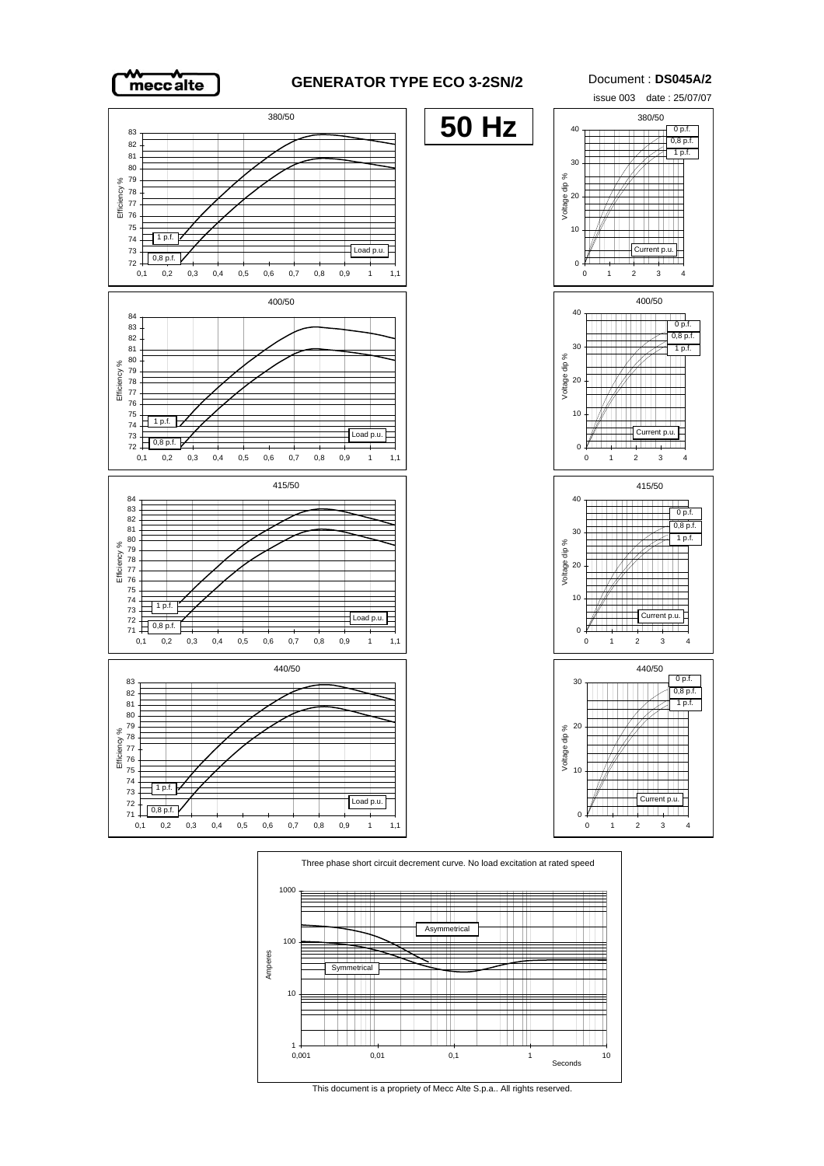

## **GENERATOR TYPE ECO 3-2SN/2** Document : **DS045A/2**



Three phase short circuit decrement curve. No load excitation at rated speed 1000  $\frac{1}{1}$ Ħ  $\pm$  $^{\rm{+}}$ Asymme ₩  $\overline{\phantom{a}}$ 100  $\overline{\phantom{0}}$ Amperes  $\blacksquare$ **Symmetrical**  $\overline{\phantom{0}}$  $\pm\pm\pm\pm$ TШ 10 ╫╫ ₩ 1 0,001 0,01 0,1 1 10 Seconds

This document is a propriety of Mecc Alte S.p.a.. All rights reserved.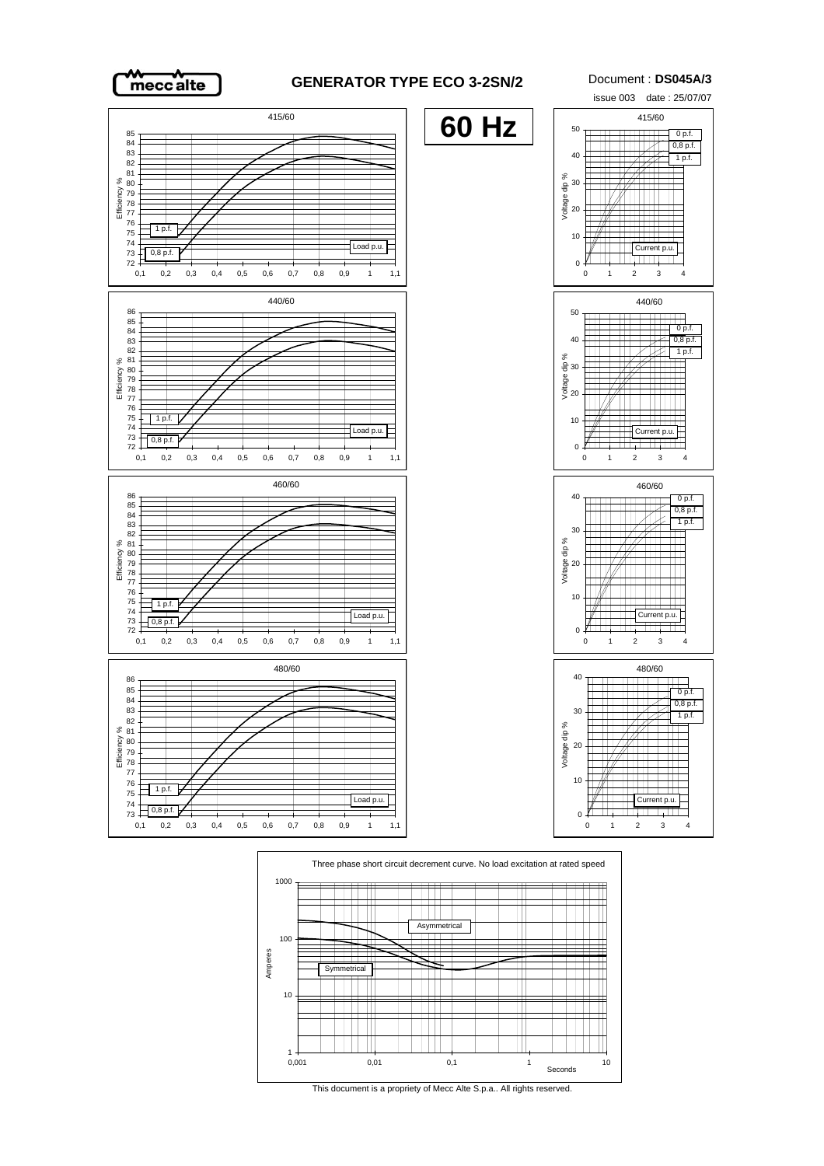weccalte

## **GENERATOR TYPE ECO 3-2SN/2** Document : **DS045A/3**





This document is a propriety of Mecc Alte S.p.a.. All rights reserved.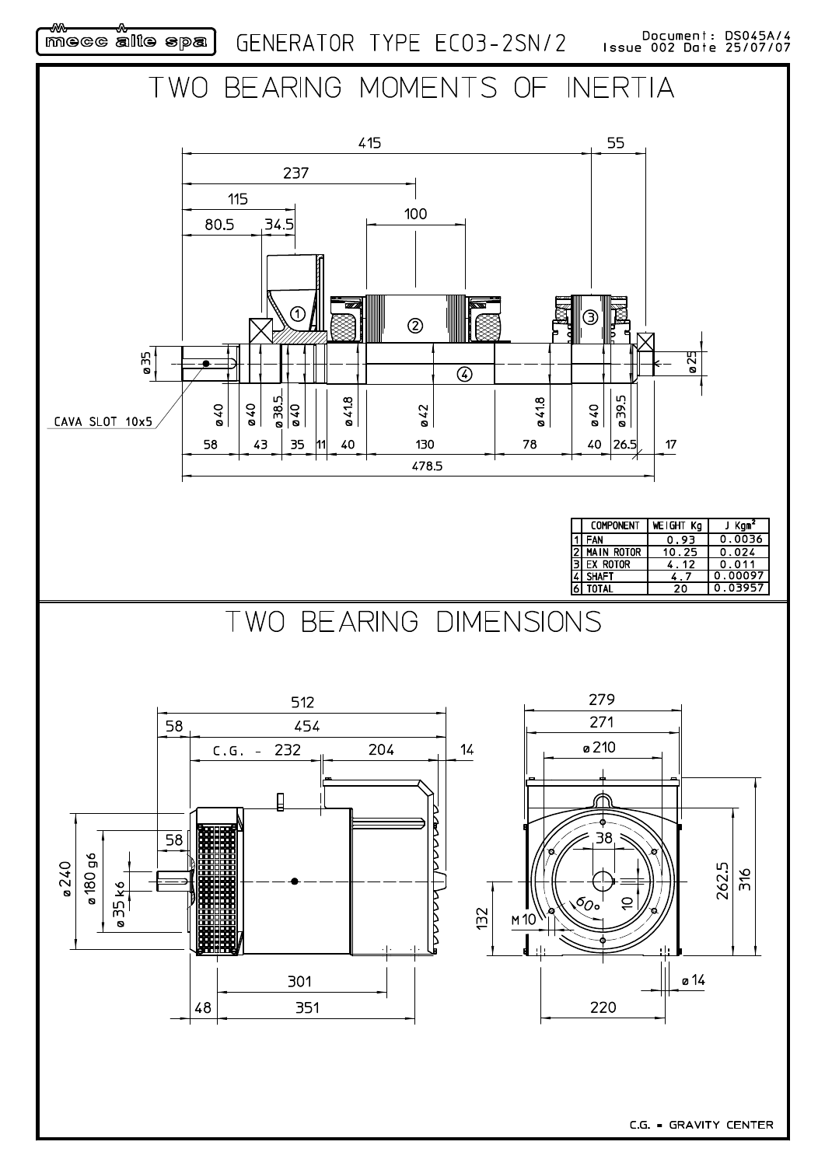